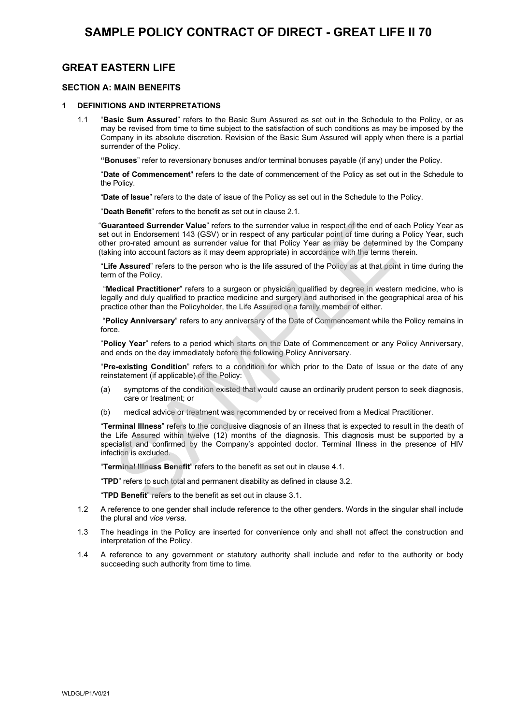# **GREAT EASTERN LIFE**

## **SECTION A: MAIN BENEFITS**

### **1 DEFINITIONS AND INTERPRETATIONS**

**1.1 "Basic Sum Assured" refers to the Basic Sum Assured as set out in the Schedule to the Policy, or as may be revised from time to time subject to the satisfaction of such conditions as may be imposed by the Company in its absolute discretion. Revision of the Basic Sum Assured will apply when there is a partial surrender of the Policy.**

**"Bonuses" refer to reversionary bonuses and/or terminal bonuses payable (if any) under the Policy.**

**"Date of Commencement" refers to the date of commencement of the Policy as set out in the Schedule to the Policy.**

**"Date of Issue" refers to the date of issue of the Policy as set out in the Schedule to the Policy.**

**"Death Benefit" refers to the benefit as set out in clause 2.1.**

**"Guaranteed Surrender Value" refers to the surrender value in respect of the end of each Policy Year as set out in Endorsement 143 (GSV) or in respect of any particular point of time during a Policy Year, such other pro-rated amount as surrender value for that Policy Year as may be determined by the Company (taking into account factors as it may deem appropriate) in accordance with the terms therein.** 

**"Life Assured" refers to the person who is the life assured of the Policy as at that point in time during the term of the Policy.**

**"Medical Practitioner" refers to a surgeon or physician qualified by degree in western medicine, who is legally and duly qualified to practice medicine and surgery and authorised in the geographical area of his practice other than the Policyholder, the Life Assured or a family member of either.**

**"Policy Anniversary" refers to any anniversary of the Date of Commencement while the Policy remains in force.**

**"Policy Year" refers to a period which starts on the Date of Commencement or any Policy Anniversary, and ends on the day immediately before the following Policy Anniversary.**

**"Pre-existing Condition" refers to a condition for which prior to the Date of Issue or the date of any reinstatement (if applicable) of the Policy:**

- **(a) symptoms of the condition existed that would cause an ordinarily prudent person to seek diagnosis, care or treatment; or**
- **(b) medical advice or treatment was recommended by or received from a Medical Practitioner.**

**"Terminal Illness" refers to the conclusive diagnosis of an illness that is expected to result in the death of the Life Assured within twelve (12) months of the diagnosis. This diagnosis must be supported by a specialist and confirmed by the Company's appointed doctor. Terminal Illness in the presence of HIV infection is excluded.** arannteed Surrender Value" refers to the surrender value in respect of the end of each Fin protected amount is (GSV) or in respect of any particular point of time during a Political point in Endocation in Endocation and th

**"Terminal Illness Benefit" refers to the benefit as set out in clause 4.1.**

**"TPD" refers to such total and permanent disability as defined in clause 3.2.**

**"TPD Benefit" refers to the benefit as set out in clause 3.1.**

- **1.2 A reference to one gender shall include reference to the other genders. Words in the singular shall include the plural and** *vice versa***.**
- **1.3 The headings in the Policy are inserted for convenience only and shall not affect the construction and interpretation of the Policy.**
- **1.4 A reference to any government or statutory authority shall include and refer to the authority or body succeeding such authority from time to time.**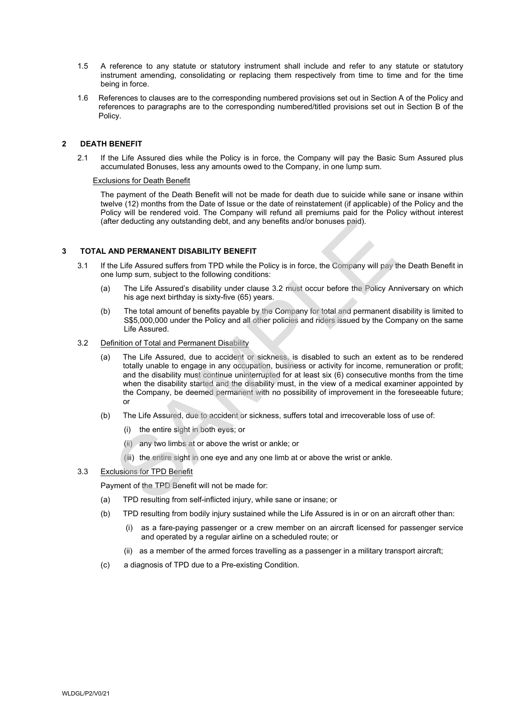- **1.5 A reference to any statute or statutory instrument shall include and refer to any statute or statutory instrument amending, consolidating or replacing them respectively from time to time and for the time being in force.**
- **1.6 References to clauses are to the corresponding numbered provisions set out in Section A of the Policy and references to paragraphs are to the corresponding numbered/titled provisions set out in Section B of the Policy.**

## **2 DEATH BENEFIT**

**2.1 If the Life Assured dies while the Policy is in force, the Company will pay the Basic Sum Assured plus accumulated Bonuses, less any amounts owed to the Company, in one lump sum.**

#### **Exclusions for Death Benefit**

**The payment of the Death Benefit will not be made for death due to suicide while sane or insane within twelve (12) months from the Date of Issue or the date of reinstatement (if applicable) of the Policy and the Policy will be rendered void. The Company will refund all premiums paid for the Policy without interest (after deducting any outstanding debt, and any benefits and/or bonuses paid).**

#### **3 TOTAL AND PERMANENT DISABILITY BENEFIT**

- **3.1 If the Life Assured suffers from TPD while the Policy is in force, the Company will pay the Death Benefit in one lump sum, subject to the following conditions:**
	- **(a) The Life Assured's disability under clause 3.2 must occur before the Policy Anniversary on which his age next birthday is sixty-five (65) years.**
	- **(b) The total amount of benefits payable by the Company for total and permanent disability is limited to S\$5,000,000 under the Policy and all other policies and riders issued by the Company on the same Life Assured.**
- **3.2 Definition of Total and Permanent Disability**
- **(a) The Life Assured, due to accident or sickness, is disabled to such an extent as to be rendered totally unable to engage in any occupation, business or activity for income, remuneration or profit; and the disability must continue uninterrupted for at least six (6) consecutive months from the time when the disability started and the disability must, in the view of a medical examiner appointed by the Company, be deemed permanent with no possibility of improvement in the foreseeable future; or** er deducting any outstanding debt, and any benefits and/or bonuses paid).<br> **NND PERMANENT DISABILITY BENEFIT**<br>
The Life Assured's differs from TPD while the Policy is in force, the Company will pay<br>
I lump sum, subject to
	- **(b) The Life Assured, due to accident or sickness, suffers total and irrecoverable loss of use of:**
		- **(i) the entire sight in both eyes; or**
		- **(ii) any two limbs at or above the wrist or ankle; or**
		- **(iii) the entire sight in one eye and any one limb at or above the wrist or ankle.**
- **3.3 Exclusions for TPD Benefit**

**Payment of the TPD Benefit will not be made for:**

- **(a) TPD resulting from self-inflicted injury, while sane or insane; or**
- **(b) TPD resulting from bodily injury sustained while the Life Assured is in or on an aircraft other than:**
	- **(i) as a fare-paying passenger or a crew member on an aircraft licensed for passenger service and operated by a regular airline on a scheduled route; or**
	- **(ii) as a member of the armed forces travelling as a passenger in a military transport aircraft;**
- **(c) a diagnosis of TPD due to a Pre-existing Condition.**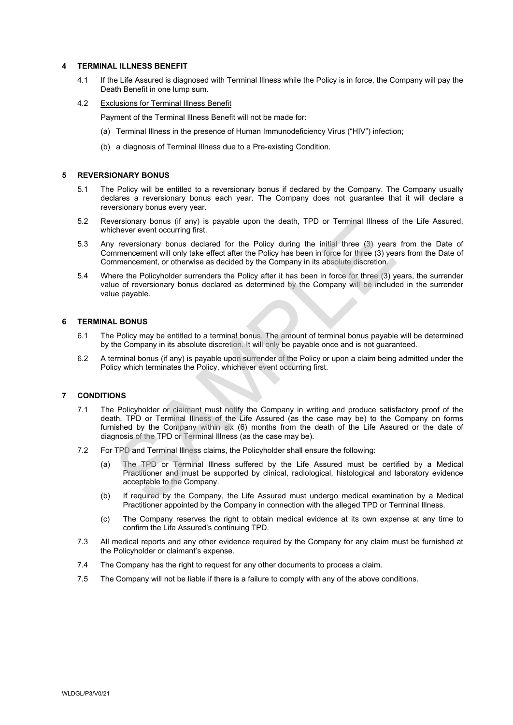#### **4 TERMINAL ILLNESS BENEFIT**

- **4.1 If the Life Assured is diagnosed with Terminal Illness while the Policy is in force, the Company will pay the Death Benefit in one lump sum.**
- **4.2 Exclusions for Terminal Illness Benefit**

**Payment of the Terminal Illness Benefit will not be made for:**

- **(a) Terminal Illness in the presence of Human Immunodeficiency Virus ("HIV") infection;**
- **(b) a diagnosis of Terminal Illness due to a Pre-existing Condition.**

#### **5 REVERSIONARY BONUS**

- **5.1 The Policy will be entitled to a reversionary bonus if declared by the Company. The Company usually declares a reversionary bonus each year. The Company does not guarantee that it will declare a reversionary bonus every year.**
- **5.2 Reversionary bonus (if any) is payable upon the death, TPD or Terminal Illness of the Life Assured, whichever event occurring first.**
- **5.3 Any reversionary bonus declared for the Policy during the initial three (3) years from the Date of Commencement will only take effect after the Policy has been in force for three (3) years from the Date of Commencement, or otherwise as decided by the Company in its absolute discretion.**
- **5.4 Where the Policyholder surrenders the Policy after it has been in force for three (3) years, the surrender value of reversionary bonus declared as determined by the Company will be included in the surrender value payable.**

#### **6 TERMINAL BONUS**

- **6.1 The Policy may be entitled to a terminal bonus. The amount of terminal bonus payable will be determined by the Company in its absolute discretion. It will only be payable once and is not guaranteed.**
- **6.2 A terminal bonus (if any) is payable upon surrender of the Policy or upon a claim being admitted under the Policy which terminates the Policy, whichever event occurring first.**

## **7 CONDITIONS**

- **7.1 The Policyholder or claimant must notify the Company in writing and produce satisfactory proof of the death, TPD or Terminal Illness of the Life Assured (as the case may be) to the Company on forms furnished by the Company within six (6) months from the death of the Life Assured or the date of diagnosis of the TPD or Terminal Illness (as the case may be).** versionary bonus (if any) is payable upon the death, iPD or Terminal illness of<br>chever event occurring first.<br>
The versionary bonus declared for the Policy during the initial three (3) years<br>
memomentem will only take effe
- **7.2 For TPD and Terminal Illness claims, the Policyholder shall ensure the following:**
	- **(a) The TPD or Terminal Illness suffered by the Life Assured must be certified by a Medical Practitioner and must be supported by clinical, radiological, histological and laboratory evidence acceptable to the Company.**
	- **(b) If required by the Company, the Life Assured must undergo medical examination by a Medical Practitioner appointed by the Company in connection with the alleged TPD or Terminal Illness.**
	- **(c) The Company reserves the right to obtain medical evidence at its own expense at any time to confirm the Life Assured's continuing TPD.**
- **7.3 All medical reports and any other evidence required by the Company for any claim must be furnished at the Policyholder or claimant's expense.**
- **7.4 The Company has the right to request for any other documents to process a claim.**
- **7.5 The Company will not be liable if there is a failure to comply with any of the above conditions.**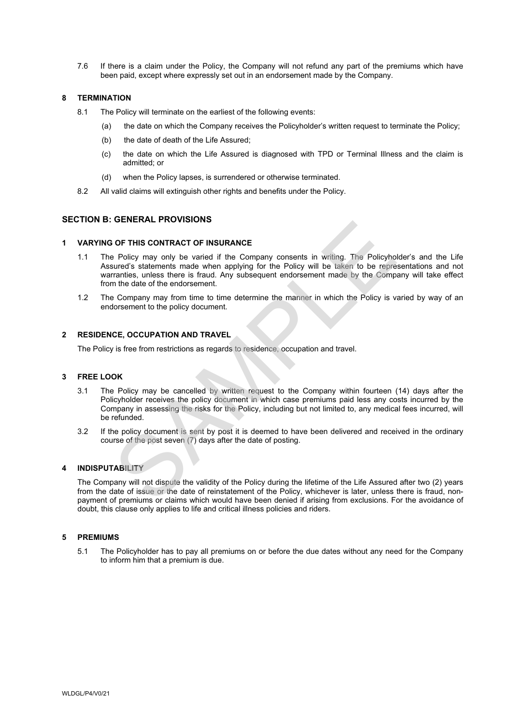**7.6 If there is a claim under the Policy, the Company will not refund any part of the premiums which have been paid, except where expressly set out in an endorsement made by the Company.**

## **8 TERMINATION**

- **8.1 The Policy will terminate on the earliest of the following events:**
	- **(a) the date on which the Company receives the Policyholder's written request to terminate the Policy;**
	- **(b) the date of death of the Life Assured;**
	- **(c) the date on which the Life Assured is diagnosed with TPD or Terminal Illness and the claim is admitted; or**
	- **(d) when the Policy lapses, is surrendered or otherwise terminated.**
- **8.2 All valid claims will extinguish other rights and benefits under the Policy.**

## **SECTION B: GENERAL PROVISIONS**

#### **1 VARYING OF THIS CONTRACT OF INSURANCE**

- **1.1 The Policy may only be varied if the Company consents in writing. The Policyholder's and the Life Assured's statements made when applying for the Policy will be taken to be representations and not warranties, unless there is fraud. Any subsequent endorsement made by the Company will take effect from the date of the endorsement. OF THIS CONTRACT OF INSURANCE**<br>
Policy may only be varied if the Company consents in writing. The Policyhors<br>
statements materals and when applying for the Piolicy will be taken to be repire<br>
arranties, unless there is fr
- **1.2 The Company may from time to time determine the manner in which the Policy is varied by way of an endorsement to the policy document.**

### **2 RESIDENCE, OCCUPATION AND TRAVEL**

**The Policy is free from restrictions as regards to residence, occupation and travel.**

## **3 FREE LOOK**

- **3.1 The Policy may be cancelled by written request to the Company within fourteen (14) days after the Policyholder receives the policy document in which case premiums paid less any costs incurred by the Company in assessing the risks for the Policy, including but not limited to, any medical fees incurred, will be refunded.**
- **3.2 If the policy document is sent by post it is deemed to have been delivered and received in the ordinary course of the post seven (7) days after the date of posting.**

#### **4 INDISPUTABILITY**

**The Company will not dispute the validity of the Policy during the lifetime of the Life Assured after two (2) years from the date of issue or the date of reinstatement of the Policy, whichever is later, unless there is fraud, nonpayment of premiums or claims which would have been denied if arising from exclusions. For the avoidance of doubt, this clause only applies to life and critical illness policies and riders.**

#### **5 PREMIUMS**

**5.1 The Policyholder has to pay all premiums on or before the due dates without any need for the Company to inform him that a premium is due.**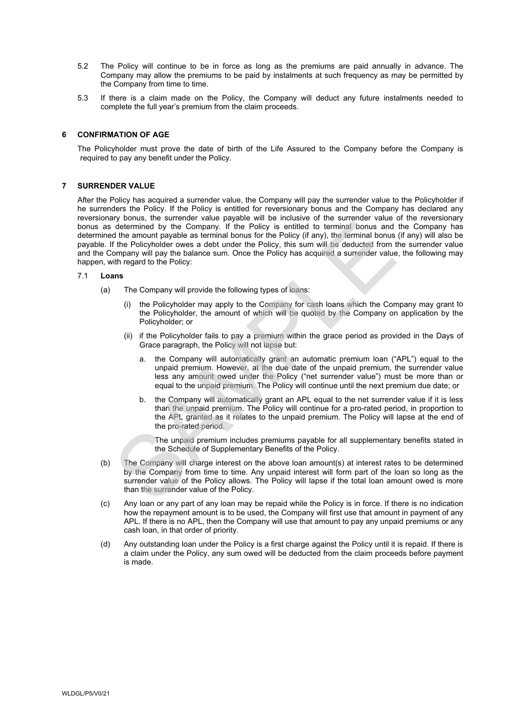- **5.2 The Policy will continue to be in force as long as the premiums are paid annually in advance. The Company may allow the premiums to be paid by instalments at such frequency as may be permitted by the Company from time to time.**
- **5.3 If there is a claim made on the Policy, the Company will deduct any future instalments needed to complete the full year's premium from the claim proceeds.**

### **6 CONFIRMATION OF AGE**

**The Policyholder must prove the date of birth of the Life Assured to the Company before the Company is required to pay any benefit under the Policy.**

#### **7 SURRENDER VALUE**

**After the Policy has acquired a surrender value, the Company will pay the surrender value to the Policyholder if he surrenders the Policy. If the Policy is entitled for reversionary bonus and the Company has declared any reversionary bonus, the surrender value payable will be inclusive of the surrender value of the reversionary bonus as determined by the Company. If the Policy is entitled to terminal bonus and the Company has determined the amount payable as terminal bonus for the Policy (if any), the terminal bonus (if any) will also be payable. If the Policyholder owes a debt under the Policy, this sum will be deducted from the surrender value and the Company will pay the balance sum. Once the Policy has acquired a surrender value, the following may happen, with regard to the Policy:** by the Company. If the Policy is entitled to terminal bonus and<br>determined by the Company. If the Policy is entitled to terminal bonus and<br>diffe amount payable as terminal bonus for the Policy (if any), the terminal bonus

### **7.1 Loans**

- **(a) The Company will provide the following types of loans:**
	- **(i) the Policyholder may apply to the Company for cash loans which the Company may grant to the Policyholder, the amount of which will be quoted by the Company on application by the Policyholder; or**
	- **(ii) if the Policyholder fails to pay a premium within the grace period as provided in the Days of Grace paragraph, the Policy will not lapse but:**
		- **a. the Company will automatically grant an automatic premium loan ("APL") equal to the unpaid premium. However, at the due date of the unpaid premium, the surrender value less any amount owed under the Policy ("net surrender value") must be more than or equal to the unpaid premium. The Policy will continue until the next premium due date; or**
		- **b. the Company will automatically grant an APL equal to the net surrender value if it is less than the unpaid premium. The Policy will continue for a pro-rated period, in proportion to the APL granted as it relates to the unpaid premium. The Policy will lapse at the end of the pro-rated period.**

**The unpaid premium includes premiums payable for all supplementary benefits stated in the Schedule of Supplementary Benefits of the Policy.**

- **(b) The Company will charge interest on the above loan amount(s) at interest rates to be determined by the Company from time to time. Any unpaid interest will form part of the loan so long as the surrender value of the Policy allows. The Policy will lapse if the total loan amount owed is more than the surrender value of the Policy.**
- **(c) Any loan or any part of any loan may be repaid while the Policy is in force. If there is no indication how the repayment amount is to be used, the Company will first use that amount in payment of any APL. If there is no APL, then the Company will use that amount to pay any unpaid premiums or any cash loan, in that order of priority.**
- **(d) Any outstanding loan under the Policy is a first charge against the Policy until it is repaid. If there is a claim under the Policy, any sum owed will be deducted from the claim proceeds before payment is made.**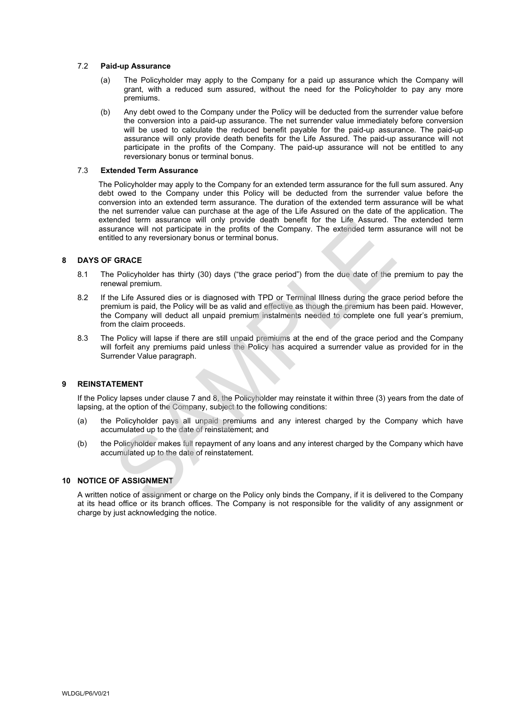### **7.2 Paid-up Assurance**

- **(a) The Policyholder may apply to the Company for a paid up assurance which the Company will grant, with a reduced sum assured, without the need for the Policyholder to pay any more premiums.**
- **(b) Any debt owed to the Company under the Policy will be deducted from the surrender value before the conversion into a paid-up assurance. The net surrender value immediately before conversion will be used to calculate the reduced benefit payable for the paid-up assurance. The paid-up assurance will only provide death benefits for the Life Assured. The paid-up assurance will not participate in the profits of the Company. The paid-up assurance will not be entitled to any reversionary bonus or terminal bonus.**

#### **7.3 Extended Term Assurance**

**The Policyholder may apply to the Company for an extended term assurance for the full sum assured. Any debt owed to the Company under this Policy will be deducted from the surrender value before the conversion into an extended term assurance. The duration of the extended term assurance will be what the net surrender value can purchase at the age of the Life Assured on the date of the application. The extended term assurance will only provide death benefit for the Life Assured. The extended term assurance will not participate in the profits of the Company. The extended term assurance will not be entitled to any reversionary bonus or terminal bonus.**

## **8 DAYS OF GRACE**

- **8.1 The Policyholder has thirty (30) days ("the grace period") from the due date of the premium to pay the renewal premium.**
- **8.2 If the Life Assured dies or is diagnosed with TPD or Terminal Illness during the grace period before the premium is paid, the Policy will be as valid and effective as though the premium has been paid. However, the Company will deduct all unpaid premium instalments needed to complete one full year's premium, from the claim proceeds.** intere term assurance will not pricing the profits of the Company. The extended term assurance will not participate in the profits of the Company. The extended term as:<br>the to any reversionary bonus or terminal bonus.<br> **GR**
- **8.3 The Policy will lapse if there are still unpaid premiums at the end of the grace period and the Company will forfeit any premiums paid unless the Policy has acquired a surrender value as provided for in the Surrender Value paragraph.**

#### **9 REINSTATEMENT**

**If the Policy lapses under clause 7 and 8, the Policyholder may reinstate it within three (3) years from the date of lapsing, at the option of the Company, subject to the following conditions:**

- **(a) the Policyholder pays all unpaid premiums and any interest charged by the Company which have accumulated up to the date of reinstatement; and**
- **(b) the Policyholder makes full repayment of any loans and any interest charged by the Company which have accumulated up to the date of reinstatement.**

### **10 NOTICE OF ASSIGNMENT**

**A written notice of assignment or charge on the Policy only binds the Company, if it is delivered to the Company at its head office or its branch offices. The Company is not responsible for the validity of any assignment or charge by just acknowledging the notice.**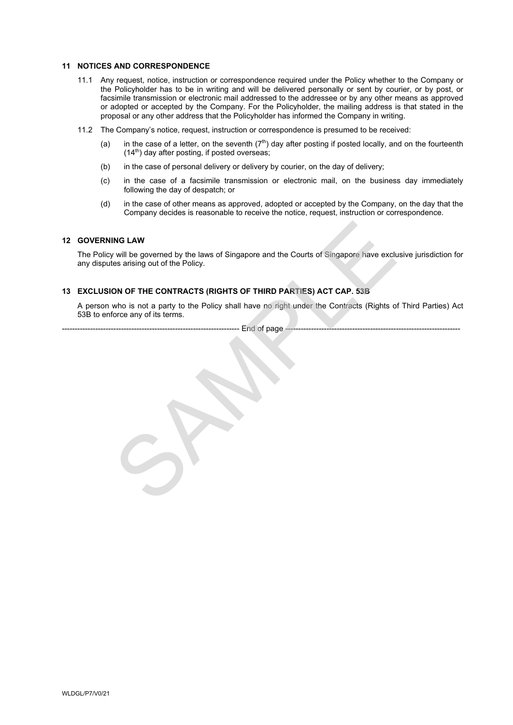#### **11 NOTICES AND CORRESPONDENCE**

- **11.1 Any request, notice, instruction or correspondence required under the Policy whether to the Company or the Policyholder has to be in writing and will be delivered personally or sent by courier, or by post, or facsimile transmission or electronic mail addressed to the addressee or by any other means as approved or adopted or accepted by the Company. For the Policyholder, the mailing address is that stated in the proposal or any other address that the Policyholder has informed the Company in writing.**
- **11.2 The Company's notice, request, instruction or correspondence is presumed to be received:**
	- **(a) in the case of a letter, on the seventh (7th) day after posting if posted locally, and on the fourteenth (14th) day after posting, if posted overseas;**
	- **(b) in the case of personal delivery or delivery by courier, on the day of delivery;**
	- **(c) in the case of a facsimile transmission or electronic mail, on the business day immediately following the day of despatch; or**
	- **(d) in the case of other means as approved, adopted or accepted by the Company, on the day that the Company decides is reasonable to receive the notice, request, instruction or correspondence.**

### **12 GOVERNING LAW**

**The Policy will be governed by the laws of Singapore and the Courts of Singapore have exclusive jurisdiction for any disputes arising out of the Policy.** ING LAW<br>will be governed by the laws of Singapore and the Courts of Singapore have excludes arising out of the Policy.<br>ON OF THE CONTRACTS (RIGHTS OF THIRD PARTIES) ACT CAP. 53B<br>who is not a party to the Policy shall have

#### **13 EXCLUSION OF THE CONTRACTS (RIGHTS OF THIRD PARTIES) ACT CAP. 53B**

**A person who is not a party to the Policy shall have no right under the Contracts (Rights of Third Parties) Act 53B to enforce any of its terms.**

-- End of page -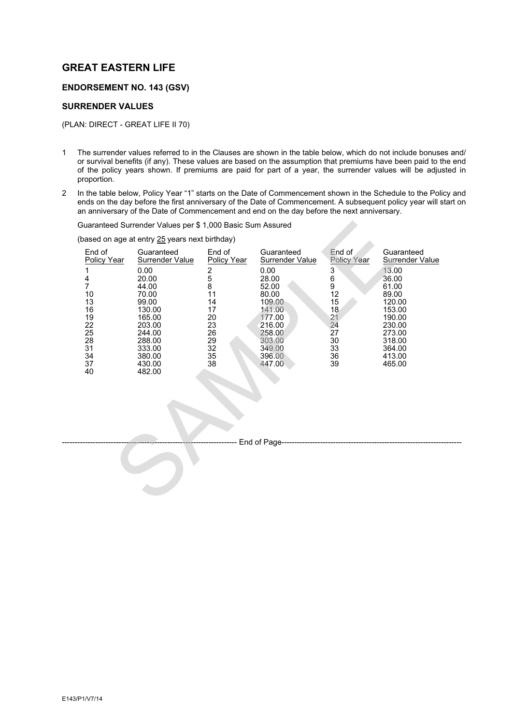## **GREAT EASTERN LIFE**

## **ENDORSEMENT NO. 143 (GSV)**

## **SURRENDER VALUES**

**(PLAN: DIRECT - GREAT LIFE II 70)**

- **1 The surrender values referred to in the Clauses are shown in the table below, which do not include bonuses and/ or survival benefits (if any). These values are based on the assumption that premiums have been paid to the end of the policy years shown. If premiums are paid for part of a year, the surrender values will be adjusted in proportion.**
- **2 In the table below, Policy Year "1" starts on the Date of Commencement shown in the Schedule to the Policy and**  ends on the day before the first anniversary of the Date of Commencement. A subsequent policy year will start on **an anniversary of the Date of Commencement and end on the day before the next anniversary.**

| Guaranteed Surrender Values per \$ 1,000 Basic Sum Assured                                                           |                                                                                                                                                                     |                                                                                                                                 |                                                                                                                                                                            |                                                                                                                                        |                                                                                                                                                                    |
|----------------------------------------------------------------------------------------------------------------------|---------------------------------------------------------------------------------------------------------------------------------------------------------------------|---------------------------------------------------------------------------------------------------------------------------------|----------------------------------------------------------------------------------------------------------------------------------------------------------------------------|----------------------------------------------------------------------------------------------------------------------------------------|--------------------------------------------------------------------------------------------------------------------------------------------------------------------|
| based on age at entry 25 years next birthday)                                                                        |                                                                                                                                                                     |                                                                                                                                 |                                                                                                                                                                            |                                                                                                                                        |                                                                                                                                                                    |
| End of<br><b>Policy Year</b><br>1<br>$\frac{4}{7}$<br>10<br>13<br>16<br>19<br>22<br>25<br>28<br>31<br>34<br>37<br>40 | Guaranteed<br>Surrender Value<br>0.00<br>20.00<br>44.00<br>70.00<br>99.00<br>130.00<br>165.00<br>203.00<br>244.00<br>288.00<br>333.00<br>380.00<br>430.00<br>482.00 | End of<br>Policy Year<br>$\begin{array}{c} 2 \\ 5 \\ 8 \end{array}$<br>11<br>14<br>17<br>20<br>23<br>26<br>29<br>32<br>35<br>38 | Guaranteed<br>Surrender Value<br>0.00<br>28.00<br>52.00<br>80.00<br>109.00<br>141.00<br>177.00<br>216.00<br>258.00<br>303.00<br>349.00<br>396.00<br>447.00<br>End of Page- | End of<br>Policy Year<br>$\begin{array}{c}\n 3 \\  6 \\  9 \\  12\n \end{array}$<br>15<br>18<br>21<br>24<br>27<br>30<br>33<br>36<br>39 | Guaranteed<br><b>Surrender Value</b><br>13.00<br>36.00<br>61.00<br>89.00<br>120.00<br>153.00<br>190.00<br>230.00<br>273.00<br>318.00<br>364.00<br>413.00<br>465.00 |
|                                                                                                                      |                                                                                                                                                                     |                                                                                                                                 |                                                                                                                                                                            |                                                                                                                                        |                                                                                                                                                                    |
|                                                                                                                      |                                                                                                                                                                     |                                                                                                                                 |                                                                                                                                                                            |                                                                                                                                        |                                                                                                                                                                    |
|                                                                                                                      |                                                                                                                                                                     |                                                                                                                                 |                                                                                                                                                                            |                                                                                                                                        |                                                                                                                                                                    |
|                                                                                                                      |                                                                                                                                                                     |                                                                                                                                 |                                                                                                                                                                            |                                                                                                                                        |                                                                                                                                                                    |